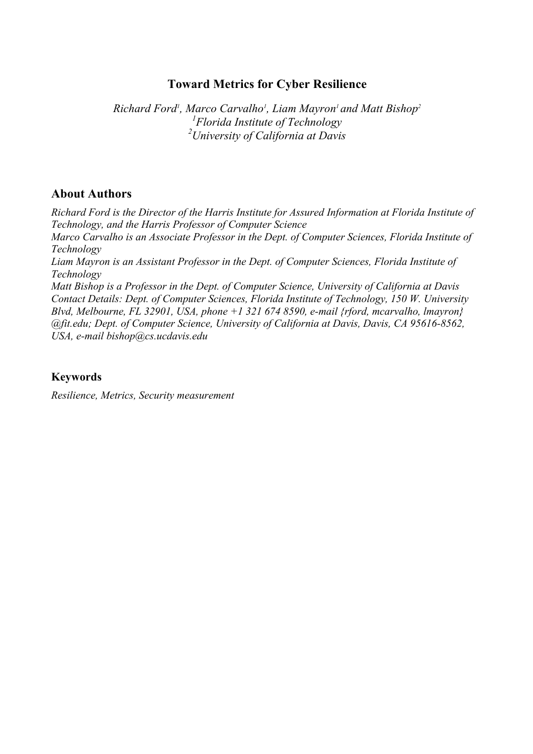## **Toward Metrics for Cyber Resilience**

*Richard Ford1 , Marco Carvalho1 , Liam Mayron1 and Matt Bishop2 1 Florida Institute of Technology 2 University of California at Davis*

### **About Authors**

*Richard Ford is the Director of the Harris Institute for Assured Information at Florida Institute of Technology, and the Harris Professor of Computer Science Marco Carvalho is an Associate Professor in the Dept. of Computer Sciences, Florida Institute of Technology Liam Mayron is an Assistant Professor in the Dept. of Computer Sciences, Florida Institute of Technology Matt Bishop is a Professor in the Dept. of Computer Science, University of California at Davis Contact Details: Dept. of Computer Sciences, Florida Institute of Technology, 150 W. University Blvd, Melbourne, FL 32901, USA, phone +1 321 674 8590, e-mail {rford, mcarvalho, lmayron} @fit.edu; Dept. of Computer Science, University of California at Davis, Davis, CA 95616-8562, USA, e-mail bishop@cs.ucdavis.edu*

#### **Keywords**

*Resilience, Metrics, Security measurement*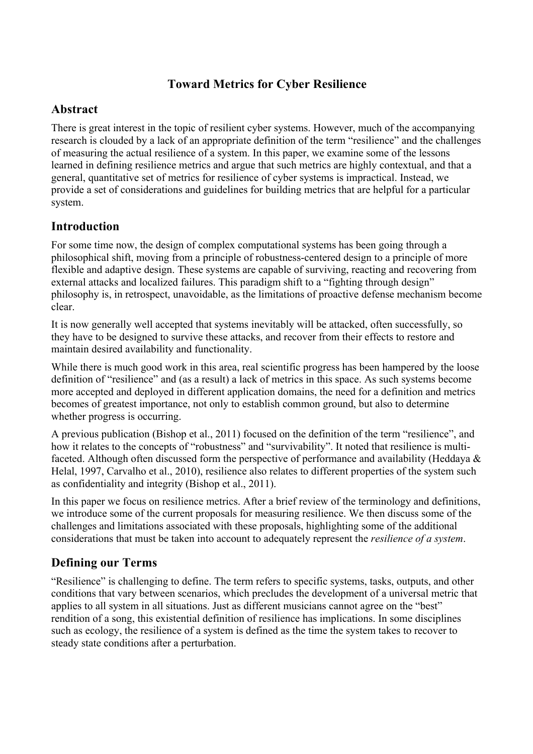# **Toward Metrics for Cyber Resilience**

# **Abstract**

There is great interest in the topic of resilient cyber systems. However, much of the accompanying research is clouded by a lack of an appropriate definition of the term "resilience" and the challenges of measuring the actual resilience of a system. In this paper, we examine some of the lessons learned in defining resilience metrics and argue that such metrics are highly contextual, and that a general, quantitative set of metrics for resilience of cyber systems is impractical. Instead, we provide a set of considerations and guidelines for building metrics that are helpful for a particular system.

# **Introduction**

For some time now, the design of complex computational systems has been going through a philosophical shift, moving from a principle of robustness-centered design to a principle of more flexible and adaptive design. These systems are capable of surviving, reacting and recovering from external attacks and localized failures. This paradigm shift to a "fighting through design" philosophy is, in retrospect, unavoidable, as the limitations of proactive defense mechanism become clear.

It is now generally well accepted that systems inevitably will be attacked, often successfully, so they have to be designed to survive these attacks, and recover from their effects to restore and maintain desired availability and functionality.

While there is much good work in this area, real scientific progress has been hampered by the loose definition of "resilience" and (as a result) a lack of metrics in this space. As such systems become more accepted and deployed in different application domains, the need for a definition and metrics becomes of greatest importance, not only to establish common ground, but also to determine whether progress is occurring.

A previous publication (Bishop et al., 2011) focused on the definition of the term "resilience", and how it relates to the concepts of "robustness" and "survivability". It noted that resilience is multifaceted. Although often discussed form the perspective of performance and availability (Heddaya & Helal, 1997, Carvalho et al., 2010), resilience also relates to different properties of the system such as confidentiality and integrity (Bishop et al., 2011).

In this paper we focus on resilience metrics. After a brief review of the terminology and definitions, we introduce some of the current proposals for measuring resilience. We then discuss some of the challenges and limitations associated with these proposals, highlighting some of the additional considerations that must be taken into account to adequately represent the *resilience of a system*.

# **Defining our Terms**

"Resilience" is challenging to define. The term refers to specific systems, tasks, outputs, and other conditions that vary between scenarios, which precludes the development of a universal metric that applies to all system in all situations. Just as different musicians cannot agree on the "best" rendition of a song, this existential definition of resilience has implications. In some disciplines such as ecology, the resilience of a system is defined as the time the system takes to recover to steady state conditions after a perturbation.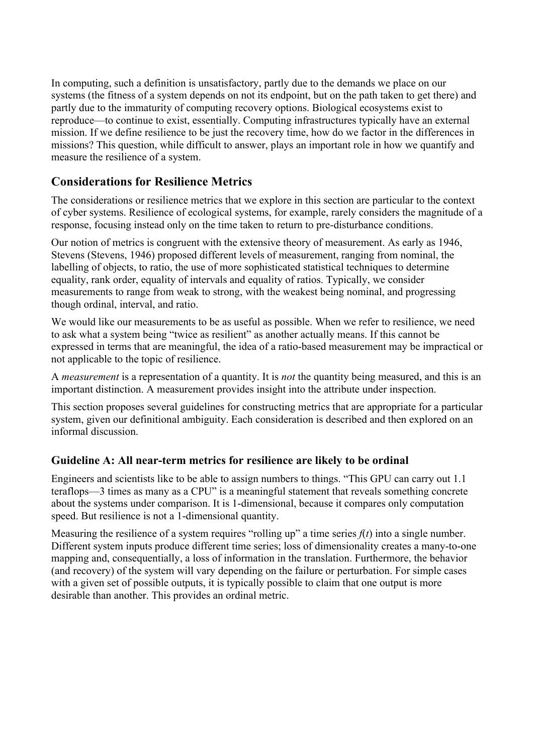In computing, such a definition is unsatisfactory, partly due to the demands we place on our systems (the fitness of a system depends on not its endpoint, but on the path taken to get there) and partly due to the immaturity of computing recovery options. Biological ecosystems exist to reproduce—to continue to exist, essentially. Computing infrastructures typically have an external mission. If we define resilience to be just the recovery time, how do we factor in the differences in missions? This question, while difficult to answer, plays an important role in how we quantify and measure the resilience of a system.

# **Considerations for Resilience Metrics**

The considerations or resilience metrics that we explore in this section are particular to the context of cyber systems. Resilience of ecological systems, for example, rarely considers the magnitude of a response, focusing instead only on the time taken to return to pre-disturbance conditions.

Our notion of metrics is congruent with the extensive theory of measurement. As early as 1946, Stevens (Stevens, 1946) proposed different levels of measurement, ranging from nominal, the labelling of objects, to ratio, the use of more sophisticated statistical techniques to determine equality, rank order, equality of intervals and equality of ratios. Typically, we consider measurements to range from weak to strong, with the weakest being nominal, and progressing though ordinal, interval, and ratio.

We would like our measurements to be as useful as possible. When we refer to resilience, we need to ask what a system being "twice as resilient" as another actually means. If this cannot be expressed in terms that are meaningful, the idea of a ratio-based measurement may be impractical or not applicable to the topic of resilience.

A *measurement* is a representation of a quantity. It is *not* the quantity being measured, and this is an important distinction. A measurement provides insight into the attribute under inspection.

This section proposes several guidelines for constructing metrics that are appropriate for a particular system, given our definitional ambiguity. Each consideration is described and then explored on an informal discussion.

### **Guideline A: All near-term metrics for resilience are likely to be ordinal**

Engineers and scientists like to be able to assign numbers to things. "This GPU can carry out 1.1 teraflops—3 times as many as a CPU" is a meaningful statement that reveals something concrete about the systems under comparison. It is 1-dimensional, because it compares only computation speed. But resilience is not a 1-dimensional quantity.

Measuring the resilience of a system requires "rolling up" a time series  $f(t)$  into a single number. Different system inputs produce different time series; loss of dimensionality creates a many-to-one mapping and, consequentially, a loss of information in the translation. Furthermore, the behavior (and recovery) of the system will vary depending on the failure or perturbation. For simple cases with a given set of possible outputs, it is typically possible to claim that one output is more desirable than another. This provides an ordinal metric.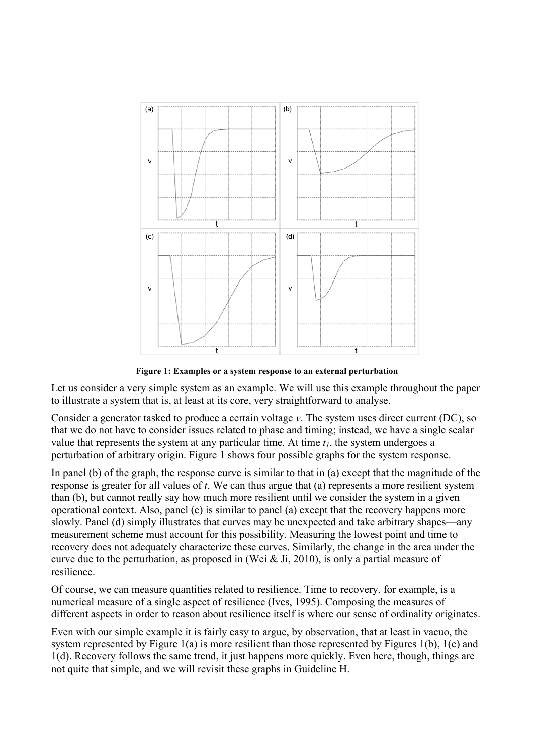

**Figure 1: Examples or a system response to an external perturbation**

Let us consider a very simple system as an example. We will use this example throughout the paper to illustrate a system that is, at least at its core, very straightforward to analyse.

Consider a generator tasked to produce a certain voltage *v*. The system uses direct current (DC), so that we do not have to consider issues related to phase and timing; instead, we have a single scalar value that represents the system at any particular time. At time  $t<sub>l</sub>$ , the system undergoes a perturbation of arbitrary origin. Figure 1 shows four possible graphs for the system response.

In panel (b) of the graph, the response curve is similar to that in (a) except that the magnitude of the response is greater for all values of *t*. We can thus argue that (a) represents a more resilient system than (b), but cannot really say how much more resilient until we consider the system in a given operational context. Also, panel (c) is similar to panel (a) except that the recovery happens more slowly. Panel (d) simply illustrates that curves may be unexpected and take arbitrary shapes—any measurement scheme must account for this possibility. Measuring the lowest point and time to recovery does not adequately characterize these curves. Similarly, the change in the area under the curve due to the perturbation, as proposed in (Wei  $\&$  Ji, 2010), is only a partial measure of resilience.

Of course, we can measure quantities related to resilience. Time to recovery, for example, is a numerical measure of a single aspect of resilience (Ives, 1995). Composing the measures of different aspects in order to reason about resilience itself is where our sense of ordinality originates.

Even with our simple example it is fairly easy to argue, by observation, that at least in vacuo, the system represented by Figure 1(a) is more resilient than those represented by Figures 1(b), 1(c) and 1(d). Recovery follows the same trend, it just happens more quickly. Even here, though, things are not quite that simple, and we will revisit these graphs in Guideline H.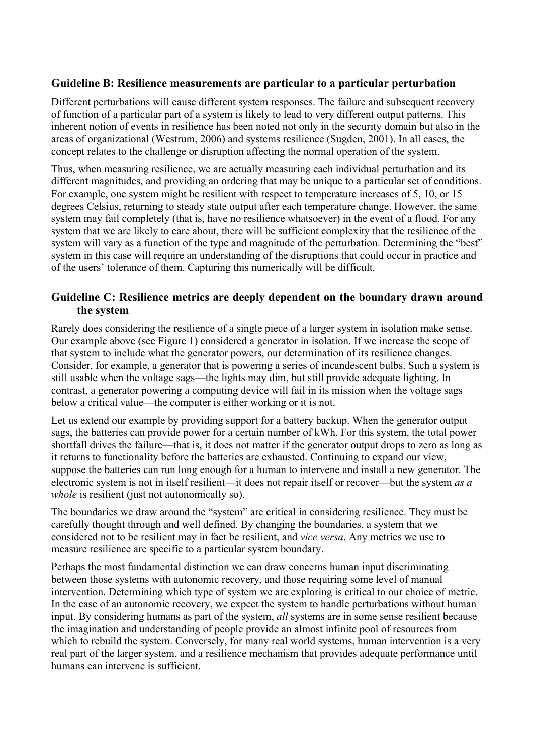#### **Guideline B: Resilience measurements are particular to a particular perturbation**

Different perturbations will cause different system responses. The failure and subsequent recovery of function of a particular part of a system is likely to lead to very different output patterns. This inherent notion of events in resilience has been noted not only in the security domain but also in the areas of organizational (Westrum, 2006) and systems resilience (Sugden, 2001). In all cases, the concept relates to the challenge or disruption affecting the normal operation of the system.

Thus, when measuring resilience, we are actually measuring each individual perturbation and its different magnitudes, and providing an ordering that may be unique to a particular set of conditions. For example, one system might be resilient with respect to temperature increases of 5, 10, or 15 degrees Celsius, returning to steady state output after each temperature change. However, the same system may fail completely (that is, have no resilience whatsoever) in the event of a flood. For any system that we are likely to care about, there will be sufficient complexity that the resilience of the system will vary as a function of the type and magnitude of the perturbation. Determining the "best" system in this case will require an understanding of the disruptions that could occur in practice and of the users' tolerance of them. Capturing this numerically will be difficult.

#### **Guideline C: Resilience metrics are deeply dependent on the boundary drawn around the system**

Rarely does considering the resilience of a single piece of a larger system in isolation make sense. Our example above (see Figure 1) considered a generator in isolation. If we increase the scope of that system to include what the generator powers, our determination of its resilience changes. Consider, for example, a generator that is powering a series of incandescent bulbs. Such a system is still usable when the voltage sags—the lights may dim, but still provide adequate lighting. In contrast, a generator powering a computing device will fail in its mission when the voltage sags below a critical value—the computer is either working or it is not.

Let us extend our example by providing support for a battery backup. When the generator output sags, the batteries can provide power for a certain number of kWh. For this system, the total power shortfall drives the failure—that is, it does not matter if the generator output drops to zero as long as it returns to functionality before the batteries are exhausted. Continuing to expand our view, suppose the batteries can run long enough for a human to intervene and install a new generator. The electronic system is not in itself resilient—it does not repair itself or recover—but the system *as a whole* is resilient (just not autonomically so).

The boundaries we draw around the "system" are critical in considering resilience. They must be carefully thought through and well defined. By changing the boundaries, a system that we considered not to be resilient may in fact be resilient, and *vice versa*. Any metrics we use to measure resilience are specific to a particular system boundary.

Perhaps the most fundamental distinction we can draw concerns human input discriminating between those systems with autonomic recovery, and those requiring some level of manual intervention. Determining which type of system we are exploring is critical to our choice of metric. In the case of an autonomic recovery, we expect the system to handle perturbations without human input. By considering humans as part of the system, *all* systems are in some sense resilient because the imagination and understanding of people provide an almost infinite pool of resources from which to rebuild the system. Conversely, for many real world systems, human intervention is a very real part of the larger system, and a resilience mechanism that provides adequate performance until humans can intervene is sufficient.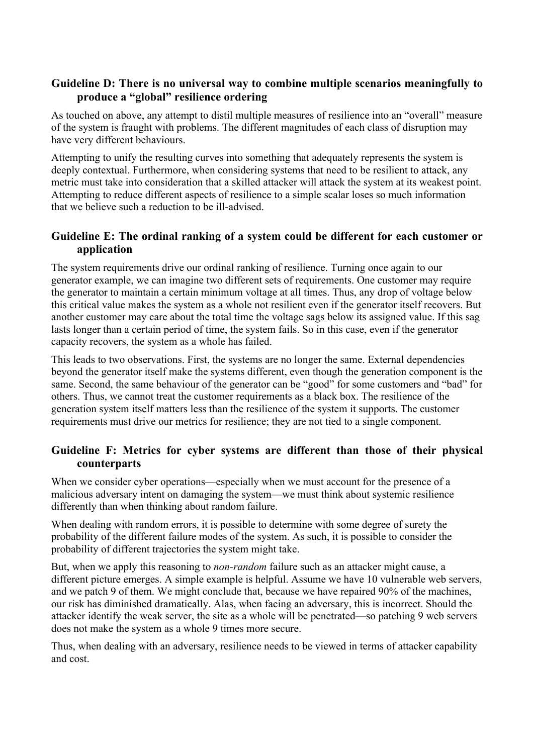### **Guideline D: There is no universal way to combine multiple scenarios meaningfully to produce a "global" resilience ordering**

As touched on above, any attempt to distil multiple measures of resilience into an "overall" measure of the system is fraught with problems. The different magnitudes of each class of disruption may have very different behaviours.

Attempting to unify the resulting curves into something that adequately represents the system is deeply contextual. Furthermore, when considering systems that need to be resilient to attack, any metric must take into consideration that a skilled attacker will attack the system at its weakest point. Attempting to reduce different aspects of resilience to a simple scalar loses so much information that we believe such a reduction to be ill-advised.

### **Guideline E: The ordinal ranking of a system could be different for each customer or application**

The system requirements drive our ordinal ranking of resilience. Turning once again to our generator example, we can imagine two different sets of requirements. One customer may require the generator to maintain a certain minimum voltage at all times. Thus, any drop of voltage below this critical value makes the system as a whole not resilient even if the generator itself recovers. But another customer may care about the total time the voltage sags below its assigned value. If this sag lasts longer than a certain period of time, the system fails. So in this case, even if the generator capacity recovers, the system as a whole has failed.

This leads to two observations. First, the systems are no longer the same. External dependencies beyond the generator itself make the systems different, even though the generation component is the same. Second, the same behaviour of the generator can be "good" for some customers and "bad" for others. Thus, we cannot treat the customer requirements as a black box. The resilience of the generation system itself matters less than the resilience of the system it supports. The customer requirements must drive our metrics for resilience; they are not tied to a single component.

### **Guideline F: Metrics for cyber systems are different than those of their physical counterparts**

When we consider cyber operations—especially when we must account for the presence of a malicious adversary intent on damaging the system—we must think about systemic resilience differently than when thinking about random failure.

When dealing with random errors, it is possible to determine with some degree of surety the probability of the different failure modes of the system. As such, it is possible to consider the probability of different trajectories the system might take.

But, when we apply this reasoning to *non-random* failure such as an attacker might cause, a different picture emerges. A simple example is helpful. Assume we have 10 vulnerable web servers, and we patch 9 of them. We might conclude that, because we have repaired 90% of the machines, our risk has diminished dramatically. Alas, when facing an adversary, this is incorrect. Should the attacker identify the weak server, the site as a whole will be penetrated—so patching 9 web servers does not make the system as a whole 9 times more secure.

Thus, when dealing with an adversary, resilience needs to be viewed in terms of attacker capability and cost.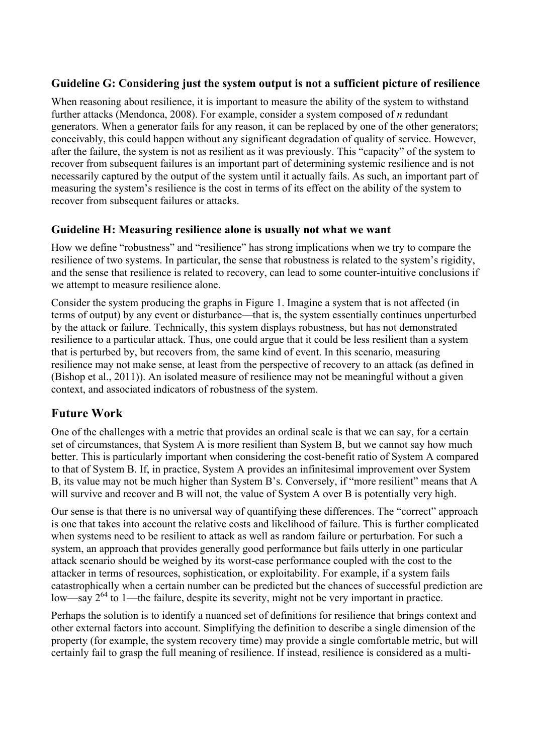#### **Guideline G: Considering just the system output is not a sufficient picture of resilience**

When reasoning about resilience, it is important to measure the ability of the system to withstand further attacks (Mendonca, 2008). For example, consider a system composed of *n* redundant generators. When a generator fails for any reason, it can be replaced by one of the other generators; conceivably, this could happen without any significant degradation of quality of service. However, after the failure, the system is not as resilient as it was previously. This "capacity" of the system to recover from subsequent failures is an important part of determining systemic resilience and is not necessarily captured by the output of the system until it actually fails. As such, an important part of measuring the system's resilience is the cost in terms of its effect on the ability of the system to recover from subsequent failures or attacks.

#### **Guideline H: Measuring resilience alone is usually not what we want**

How we define "robustness" and "resilience" has strong implications when we try to compare the resilience of two systems. In particular, the sense that robustness is related to the system's rigidity, and the sense that resilience is related to recovery, can lead to some counter-intuitive conclusions if we attempt to measure resilience alone.

Consider the system producing the graphs in Figure 1. Imagine a system that is not affected (in terms of output) by any event or disturbance—that is, the system essentially continues unperturbed by the attack or failure. Technically, this system displays robustness, but has not demonstrated resilience to a particular attack. Thus, one could argue that it could be less resilient than a system that is perturbed by, but recovers from, the same kind of event. In this scenario, measuring resilience may not make sense, at least from the perspective of recovery to an attack (as defined in (Bishop et al., 2011)). An isolated measure of resilience may not be meaningful without a given context, and associated indicators of robustness of the system.

## **Future Work**

One of the challenges with a metric that provides an ordinal scale is that we can say, for a certain set of circumstances, that System A is more resilient than System B, but we cannot say how much better. This is particularly important when considering the cost-benefit ratio of System A compared to that of System B. If, in practice, System A provides an infinitesimal improvement over System B, its value may not be much higher than System B's. Conversely, if "more resilient" means that A will survive and recover and B will not, the value of System A over B is potentially very high.

Our sense is that there is no universal way of quantifying these differences. The "correct" approach is one that takes into account the relative costs and likelihood of failure. This is further complicated when systems need to be resilient to attack as well as random failure or perturbation. For such a system, an approach that provides generally good performance but fails utterly in one particular attack scenario should be weighed by its worst-case performance coupled with the cost to the attacker in terms of resources, sophistication, or exploitability. For example, if a system fails catastrophically when a certain number can be predicted but the chances of successful prediction are low—say  $2^{64}$  to 1—the failure, despite its severity, might not be very important in practice.

Perhaps the solution is to identify a nuanced set of definitions for resilience that brings context and other external factors into account. Simplifying the definition to describe a single dimension of the property (for example, the system recovery time) may provide a single comfortable metric, but will certainly fail to grasp the full meaning of resilience. If instead, resilience is considered as a multi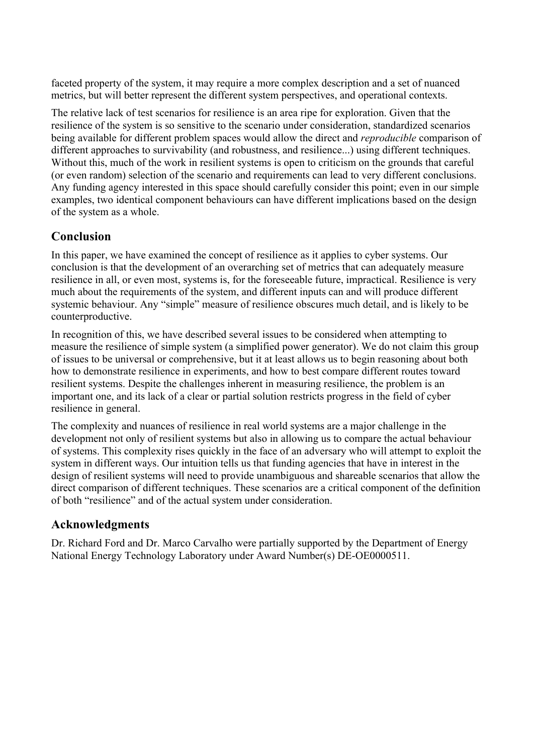faceted property of the system, it may require a more complex description and a set of nuanced metrics, but will better represent the different system perspectives, and operational contexts.

The relative lack of test scenarios for resilience is an area ripe for exploration. Given that the resilience of the system is so sensitive to the scenario under consideration, standardized scenarios being available for different problem spaces would allow the direct and *reproducible* comparison of different approaches to survivability (and robustness, and resilience...) using different techniques. Without this, much of the work in resilient systems is open to criticism on the grounds that careful (or even random) selection of the scenario and requirements can lead to very different conclusions. Any funding agency interested in this space should carefully consider this point; even in our simple examples, two identical component behaviours can have different implications based on the design of the system as a whole.

## **Conclusion**

In this paper, we have examined the concept of resilience as it applies to cyber systems. Our conclusion is that the development of an overarching set of metrics that can adequately measure resilience in all, or even most, systems is, for the foreseeable future, impractical. Resilience is very much about the requirements of the system, and different inputs can and will produce different systemic behaviour. Any "simple" measure of resilience obscures much detail, and is likely to be counterproductive.

In recognition of this, we have described several issues to be considered when attempting to measure the resilience of simple system (a simplified power generator). We do not claim this group of issues to be universal or comprehensive, but it at least allows us to begin reasoning about both how to demonstrate resilience in experiments, and how to best compare different routes toward resilient systems. Despite the challenges inherent in measuring resilience, the problem is an important one, and its lack of a clear or partial solution restricts progress in the field of cyber resilience in general.

The complexity and nuances of resilience in real world systems are a major challenge in the development not only of resilient systems but also in allowing us to compare the actual behaviour of systems. This complexity rises quickly in the face of an adversary who will attempt to exploit the system in different ways. Our intuition tells us that funding agencies that have in interest in the design of resilient systems will need to provide unambiguous and shareable scenarios that allow the direct comparison of different techniques. These scenarios are a critical component of the definition of both "resilience" and of the actual system under consideration.

## **Acknowledgments**

Dr. Richard Ford and Dr. Marco Carvalho were partially supported by the Department of Energy National Energy Technology Laboratory under Award Number(s) DE-OE0000511.